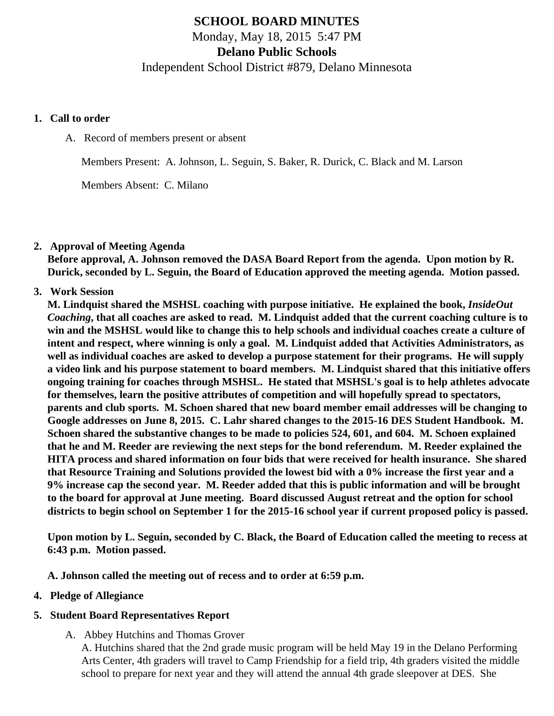## **SCHOOL BOARD MINUTES**

Monday, May 18, 2015 5:47 PM

**Delano Public Schools**

Independent School District #879, Delano Minnesota

#### **1. Call to order**

A. Record of members present or absent

Members Present: A. Johnson, L. Seguin, S. Baker, R. Durick, C. Black and M. Larson

Members Absent: C. Milano

### **2. Approval of Meeting Agenda**

**Before approval, A. Johnson removed the DASA Board Report from the agenda. Upon motion by R. Durick, seconded by L. Seguin, the Board of Education approved the meeting agenda. Motion passed.**

**3. Work Session**

**M. Lindquist shared the MSHSL coaching with purpose initiative. He explained the book,** *InsideOut Coaching***, that all coaches are asked to read. M. Lindquist added that the current coaching culture is to win and the MSHSL would like to change this to help schools and individual coaches create a culture of intent and respect, where winning is only a goal. M. Lindquist added that Activities Administrators, as well as individual coaches are asked to develop a purpose statement for their programs. He will supply a video link and his purpose statement to board members. M. Lindquist shared that this initiative offers ongoing training for coaches through MSHSL. He stated that MSHSL's goal is to help athletes advocate for themselves, learn the positive attributes of competition and will hopefully spread to spectators, parents and club sports. M. Schoen shared that new board member email addresses will be changing to Google addresses on June 8, 2015. C. Lahr shared changes to the 2015-16 DES Student Handbook. M. Schoen shared the substantive changes to be made to policies 524, 601, and 604. M. Schoen explained that he and M. Reeder are reviewing the next steps for the bond referendum. M. Reeder explained the HITA process and shared information on four bids that were received for health insurance. She shared that Resource Training and Solutions provided the lowest bid with a 0% increase the first year and a 9% increase cap the second year. M. Reeder added that this is public information and will be brought to the board for approval at June meeting. Board discussed August retreat and the option for school districts to begin school on September 1 for the 2015-16 school year if current proposed policy is passed.**

**Upon motion by L. Seguin, seconded by C. Black, the Board of Education called the meeting to recess at 6:43 p.m. Motion passed.**

**A. Johnson called the meeting out of recess and to order at 6:59 p.m.**

### **4. Pledge of Allegiance**

## **5. Student Board Representatives Report**

A. Abbey Hutchins and Thomas Grover

A. Hutchins shared that the 2nd grade music program will be held May 19 in the Delano Performing Arts Center, 4th graders will travel to Camp Friendship for a field trip, 4th graders visited the middle school to prepare for next year and they will attend the annual 4th grade sleepover at DES. She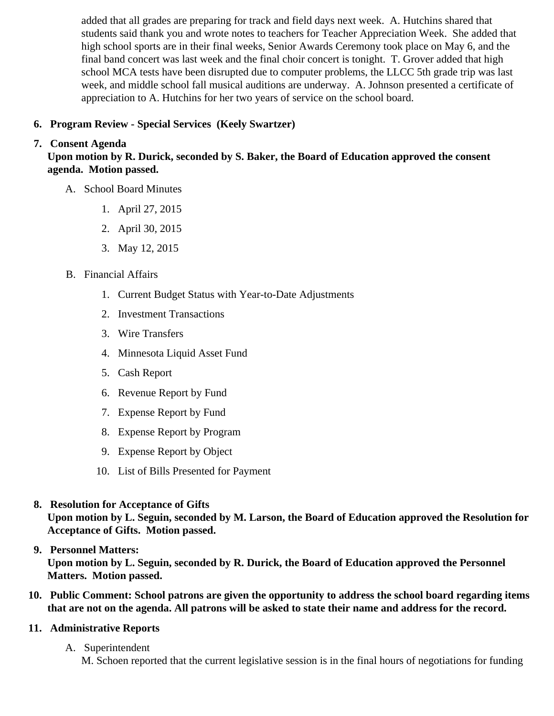added that all grades are preparing for track and field days next week. A. Hutchins shared that students said thank you and wrote notes to teachers for Teacher Appreciation Week. She added t high school sports are in their final weeks, Senior Awards Ceremony took place on May 6, and the final band concert was last week and the final choir concert is tonight. T. Grover added that high school MCA tests have been disrupted due to computer problems, the LLCC 5th grade trip was last week, and middle school fall musical auditions are underway. A. Johnson presented a certificate o appreciation to A. Hutchins for her two years of service on the school board.

- 6. [Program Review Special Service](/docs/district/District_Forms/schoolboard2015_Special_Ed._Services.pdf)s (Keely Swartzer)
- 7. Consent Agenda

Upon motion by R. Durick, seconded by S. Baker, the Board of Education approved the consent agenda. Motion passed.

- A. School Board Minutes
	- 1. [April 27, 2015](/docs/district/District_Forms/School_Board_Minutes_4.27.15.pdf)
	- 2. [April 30, 2015](/docs/district/District_Forms/4.30.15_Special_Board_Meeting_Minutes.pdf)
	- 3. [May 12, 2015](/docs/district/District_Forms/Special_Meeting_Minutes_5.12.15.pdf )
- B. Financial Affairs
	- 1. [Current Budget Status with Year-to-Date Adjustm](/docs/district/Business_Office/Budget_Report_May_15.pdf )ents
	- 2. [Investment Transactio](/docs/district/Business_Office/Investment_schedule_14-15.pdf)ns
	- 3. [Wire Transfer](/docs/district/Business_Office/Wire_Transfer.pdf  )s
	- 4. [Minnesota Liquid Asset Fun](/docs/district/Business_Office/Liquid_Asset_Fund_FY15.pdf  )d
	- 5. [Cash Repo](/docs/district/Business_Office/Cash_Report.pdf  )rt
	- 6. [Revenue Report by Fu](/docs/district/Business_Office/SCHOOL_BOARD_REPORTS_-_REVENUE_BY_FUND_TOTAL__(Date__6_2015).pdf)nd
	- 7. [Expense Report by Fu](/docs/district/Business_Office/SCHOOL_BOARD_REPORTS_-_EXP_BY_FUND_TOTAL__(Date__6_2015).pdf)nd
	- 8. [Expense Report by Progra](/docs/district/Business_Office/SCHOOL_BOARD_REPORTS_-_EXPENDITURES_BY_PROGRAM__(Date__6_2015).pdf)m
	- 9. [Expense Report by Obje](/docs/district/Business_Office/SCHOOL_BOARD_REPORTS_-_EXPENDITURES_BY_OBJECT__(Date__6_2015).pdf)ct
	- 10. [List of Bills Presented for Payme](/docs/district/Business_Office/Monthly_Bills_Paid.pdf)nt
- 8. [Resolution for Acceptance of Gifts](/docs/district/Business_Office/Resolution_for_Acceptance_of_Gifts_5.18.15.pdf) Upon motion by L. Seguin, seconded by M. Larson, the Board of Education approved the Resolution for Acceptance of Gifts. Motion passed.

# 9. [Personnel Matters:](/docs/district/HR/May_18,_2015_Personnel_Items.pdf)

Upon motion by L. Seguin, seconded by R. Durick, the Board of Education approved the Personnel Matters. Motion passed.

- 10. Public Comment: School patrons are given the opportunity to address the school board regarding items that are not on the agenda. All patrons will be asked to state their name and address for the record.
- 11. Administrative Reports
	- A. Superintendent M. Schoen reported that the current legislative session is in the final hours of negotiations for funding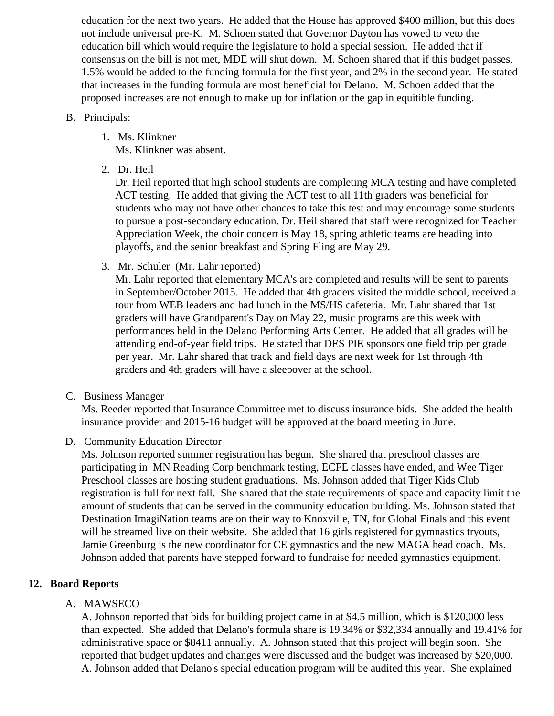education for the next two years. He added that the House has approved \$400 million, but this does not include universal pre-K. M. Schoen stated that Governor Dayton has vowed to veto the education bill which would require the legislature to hold a special session. He added that if consensus on the bill is not met, MDE will shut down. M. Schoen shared that if this budget passes, 1.5% would be added to the funding formula for the first year, and 2% in the second year. He stated that increases in the funding formula are most beneficial for Delano. M. Schoen added that the proposed increases are not enough to make up for inflation or the gap in equitible funding.

### B. Principals:

- 1. Ms. Klinkner Ms. Klinkner was absent.
- 2. Dr. Heil

Dr. Heil reported that high school students are completing MCA testing and have completed ACT testing. He added that giving the ACT test to all 11th graders was beneficial for students who may not have other chances to take this test and may encourage some students to pursue a post-secondary education. Dr. Heil shared that staff were recognized for Teacher Appreciation Week, the choir concert is May 18, spring athletic teams are heading into playoffs, and the senior breakfast and Spring Fling are May 29.

3. Mr. Schuler (Mr. Lahr reported)

Mr. Lahr reported that elementary MCA's are completed and results will be sent to parents in September/October 2015. He added that 4th graders visited the middle school, received a tour from WEB leaders and had lunch in the MS/HS cafeteria. Mr. Lahr shared that 1st graders will have Grandparent's Day on May 22, music programs are this week with performances held in the Delano Performing Arts Center. He added that all grades will be attending end-of-year field trips. He stated that DES PIE sponsors one field trip per grade per year. Mr. Lahr shared that track and field days are next week for 1st through 4th graders and 4th graders will have a sleepover at the school.

C. Business Manager

Ms. Reeder reported that Insurance Committee met to discuss insurance bids. She added the health insurance provider and 2015-16 budget will be approved at the board meeting in June.

D. Community Education Director

Ms. Johnson reported summer registration has begun. She shared that preschool classes are participating in MN Reading Corp benchmark testing, ECFE classes have ended, and Wee Tiger Preschool classes are hosting student graduations. Ms. Johnson added that Tiger Kids Club registration is full for next fall. She shared that the state requirements of space and capacity limit the amount of students that can be served in the community education building. Ms. Johnson stated that Destination ImagiNation teams are on their way to Knoxville, TN, for Global Finals and this event will be streamed live on their website. She added that 16 girls registered for gymnastics tryouts, Jamie Greenburg is the new coordinator for CE gymnastics and the new MAGA head coach. Ms. Johnson added that parents have stepped forward to fundraise for needed gymnastics equipment.

## **12. Board Reports**

### A. MAWSECO

A. Johnson reported that bids for building project came in at \$4.5 million, which is \$120,000 less than expected. She added that Delano's formula share is 19.34% or \$32,334 annually and 19.41% for administrative space or \$8411 annually. A. Johnson stated that this project will begin soon. She reported that budget updates and changes were discussed and the budget was increased by \$20,000. A. Johnson added that Delano's special education program will be audited this year. She explained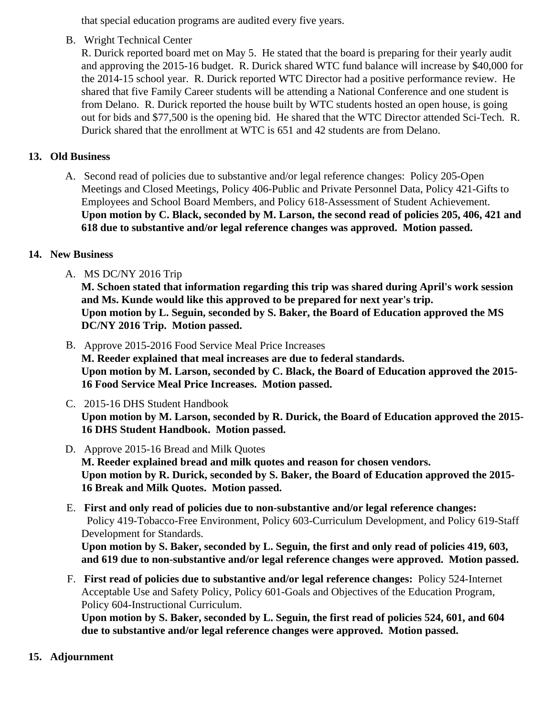that special education programs are audited every five years.

B. Wright Technical Center

R. Durick reported board met on May 5. He stated that the board is preparing for their yearly audit and approving the 2015-16 budget. R. Durick shared WTC fund balance will increase by \$40,000 for the 2014-15 school year. R. Durick reported WTC Director had a positive performance review. He shared that five Family Career students will be attending a National Conference and one student is from Delano. R. Durick reported the house built by WTC students hosted an open house, is going out for bids and \$77,500 is the opening bid. He shared that the WTC Director attended Sci-Tech. Durick shared that the enrollment at WTC is 651 and 42 students are from Delano.

- 13. Old Business
	- A. Second read of policies due to substantive and/or legal reference changes: Policy 205-Open Meetings and Closed Meetings, Policy 406-Public and Private Personnel Data, Policy 421-Gifts to Employees and School Board Members, and Policy 618-Assessment of Student Achievement. Upon motion by C. Black, seconded by M. Larson, the second read of policies 205, 406, 421 and 618 due to substantive and/or legal reference changes was approved. Motion passed.
- 14. New Business
	- A. MS DC/NY 2016 Trip

M. Schoen stated that information regarding this trip was shared during April's work session and Ms. Kunde would like this approved to be prepared for next year's trip. Upon motion by L. Seguin, seconded by S. Baker, the Board of Education approved the MS DC/NY 2016 Trip. Motion passed.

- B. [Approve 2015-2016 Food Service Meal Price Incre](/docs/district/Business_Office/FY16_Meal_Increases.pdf)ases M. Reeder explained that meal increases are due to federal standards. Upon motion by M. Larson, seconded by C. Black, the Board of Education approved the 2015- 16 Food Service Meal Price Increases. Motion passed.
- C. [2015-16 DHS Student Handbo](/docs/district/District_Forms/Student_Handbook_2015_-_16.pdf)ok Upon motion by M. Larson, seconded by R. Durick, the Board of Education approved the 2015- 16 DHS Student Handbook. Motion passed.
- D. [Approve 2015-16 Bread and Milk Quo](/docs/district/Business_Office/FY16_Bread_and_Milk_Results.pdf )tes M. Reeder explained bread and milk quotes and reason for chosen vendors. Upon motion by R. Durick, seconded by S. Baker, the Board of Education approved the 2015- 16 Break and Milk Quotes. Motion passed.
- E. First and only read of policies due to non-substantive and/or legal reference changes: Policy 419-Tobacco-Free Environment, Policy 603-Curriculum Development, and Policy 619-Staff Development for Standards. Upon motion by S. Baker, seconded by L. Seguin, the first and only read of policies 419, 603, and 619 due to non-substantive and/or legal reference changes were approved. Motion passed.
- F. First read of policies due to substantive and/or legal reference change Bolicy 524-Internet Acceptable Use and Safety Policy, Policy 601-Goals and Objectives of the Education Program, Policy 604-Instructional Curriculum.

Upon motion by S. Baker, seconded by L. Seguin, the first read of policies 524, 601, and 604 due to substantive and/or legal reference changes were approved. Motion passed.

## 15. Adjournment